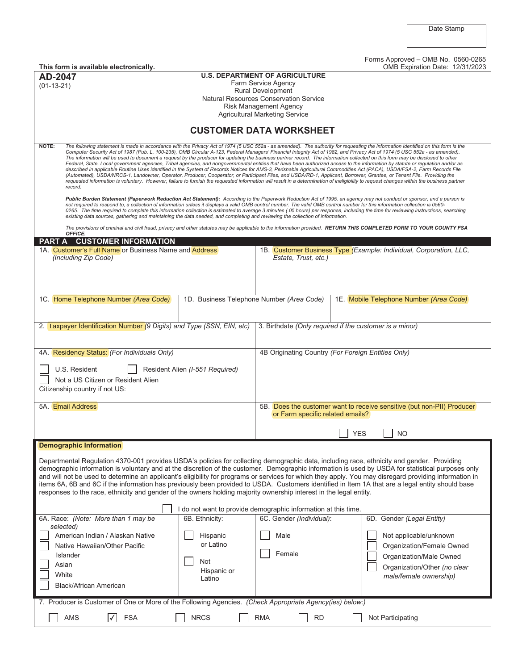| This form is available electronically.                                                                                                                                                                                                                                                                                                                                                                                                                                                                                                                                                                                                                                                                                                                                                                                                                                                                                                                                                                                                                                                                                                                                                                                                                                                                    | Forms Approved - OMB No. 0560-0265<br>OMB Expiration Date: 12/31/2023                                                                                               |  |  |  |  |  |
|-----------------------------------------------------------------------------------------------------------------------------------------------------------------------------------------------------------------------------------------------------------------------------------------------------------------------------------------------------------------------------------------------------------------------------------------------------------------------------------------------------------------------------------------------------------------------------------------------------------------------------------------------------------------------------------------------------------------------------------------------------------------------------------------------------------------------------------------------------------------------------------------------------------------------------------------------------------------------------------------------------------------------------------------------------------------------------------------------------------------------------------------------------------------------------------------------------------------------------------------------------------------------------------------------------------|---------------------------------------------------------------------------------------------------------------------------------------------------------------------|--|--|--|--|--|
| AD-2047                                                                                                                                                                                                                                                                                                                                                                                                                                                                                                                                                                                                                                                                                                                                                                                                                                                                                                                                                                                                                                                                                                                                                                                                                                                                                                   | <b>U.S. DEPARTMENT OF AGRICULTURE</b>                                                                                                                               |  |  |  |  |  |
| $(01-13-21)$                                                                                                                                                                                                                                                                                                                                                                                                                                                                                                                                                                                                                                                                                                                                                                                                                                                                                                                                                                                                                                                                                                                                                                                                                                                                                              | Farm Service Agency<br><b>Rural Development</b>                                                                                                                     |  |  |  |  |  |
|                                                                                                                                                                                                                                                                                                                                                                                                                                                                                                                                                                                                                                                                                                                                                                                                                                                                                                                                                                                                                                                                                                                                                                                                                                                                                                           | Natural Resources Conservation Service                                                                                                                              |  |  |  |  |  |
|                                                                                                                                                                                                                                                                                                                                                                                                                                                                                                                                                                                                                                                                                                                                                                                                                                                                                                                                                                                                                                                                                                                                                                                                                                                                                                           | <b>Risk Management Agency</b>                                                                                                                                       |  |  |  |  |  |
| <b>Agricultural Marketing Service</b>                                                                                                                                                                                                                                                                                                                                                                                                                                                                                                                                                                                                                                                                                                                                                                                                                                                                                                                                                                                                                                                                                                                                                                                                                                                                     |                                                                                                                                                                     |  |  |  |  |  |
| <b>CUSTOMER DATA WORKSHEET</b>                                                                                                                                                                                                                                                                                                                                                                                                                                                                                                                                                                                                                                                                                                                                                                                                                                                                                                                                                                                                                                                                                                                                                                                                                                                                            |                                                                                                                                                                     |  |  |  |  |  |
| NOTE:<br>The following statement is made in accordance with the Privacy Act of 1974 (5 USC 552a - as amended). The authority for requesting the information identified on this form is the<br>Computer Security Act of 1987 (Pub. L. 100-235), OMB Circular A-123, Federal Managers' Financial Integrity Act of 1982, and Privacy Act of 1974 (5 USC 552a - as amended).<br>The information will be used to document a request by the producer for updating the business partner record. The information collected on this form may be disclosed to other<br>Federal, State, Local government agencies, Tribal agencies, and nongovernmental entities that have been authorized access to the information by statute or regulation and/or as<br>described in applicable Routine Uses identified in the System of Records Notices for AMS-3, Perishable Agricultural Commodities Act (PACA), USDA/FSA-2, Farm Records File<br>(Automated), USDA/NRCS-1, Landowner, Operator, Producer, Cooperator, or Participant Files, and USDA/RD-1, Applicant, Borrower, Grantee, or Tenant File. Providing the<br>requested information is voluntary. However, failure to furnish the requested information will result in a determination of ineligibility to request changes within the business partner<br>record. |                                                                                                                                                                     |  |  |  |  |  |
| Public Burden Statement (Paperwork Reduction Act Statement): According to the Paperwork Reduction Act of 1995, an agency may not conduct or sponsor, and a person is<br>not required to respond to, a collection of information unless it displays a valid OMB control number. The valid OMB control number for this information collection is 0560-<br>0265. The time required to complete this information collection is estimated to average 3 minutes (.05 hours) per response, including the time for reviewing instructions, searching<br>existing data sources, gathering and maintaining the data needed, and completing and reviewing the collection of information.                                                                                                                                                                                                                                                                                                                                                                                                                                                                                                                                                                                                                             |                                                                                                                                                                     |  |  |  |  |  |
| OFFICE.                                                                                                                                                                                                                                                                                                                                                                                                                                                                                                                                                                                                                                                                                                                                                                                                                                                                                                                                                                                                                                                                                                                                                                                                                                                                                                   | The provisions of criminal and civil fraud, privacy and other statutes may be applicable to the information provided. RETURN THIS COMPLETED FORM TO YOUR COUNTY FSA |  |  |  |  |  |
| PART A CUSTOMER INFORMATION                                                                                                                                                                                                                                                                                                                                                                                                                                                                                                                                                                                                                                                                                                                                                                                                                                                                                                                                                                                                                                                                                                                                                                                                                                                                               |                                                                                                                                                                     |  |  |  |  |  |
| 1A. Customer's Full Name or Business Name and Address<br>(Including Zip Code)                                                                                                                                                                                                                                                                                                                                                                                                                                                                                                                                                                                                                                                                                                                                                                                                                                                                                                                                                                                                                                                                                                                                                                                                                             | 1B. Customer Business Type (Example: Individual, Corporation, LLC,<br>Estate, Trust, etc.)                                                                          |  |  |  |  |  |
| 1C. Home Telephone Number (Area Code)<br>1D. Business Telephone Number (Area Code)                                                                                                                                                                                                                                                                                                                                                                                                                                                                                                                                                                                                                                                                                                                                                                                                                                                                                                                                                                                                                                                                                                                                                                                                                        | 1E. Mobile Telephone Number (Area Code)                                                                                                                             |  |  |  |  |  |
|                                                                                                                                                                                                                                                                                                                                                                                                                                                                                                                                                                                                                                                                                                                                                                                                                                                                                                                                                                                                                                                                                                                                                                                                                                                                                                           |                                                                                                                                                                     |  |  |  |  |  |
| 2. Taxpayer Identification Number (9 Digits) and Type (SSN, EIN, etc)                                                                                                                                                                                                                                                                                                                                                                                                                                                                                                                                                                                                                                                                                                                                                                                                                                                                                                                                                                                                                                                                                                                                                                                                                                     | 3. Birthdate (Only required if the customer is a minor)                                                                                                             |  |  |  |  |  |
|                                                                                                                                                                                                                                                                                                                                                                                                                                                                                                                                                                                                                                                                                                                                                                                                                                                                                                                                                                                                                                                                                                                                                                                                                                                                                                           |                                                                                                                                                                     |  |  |  |  |  |
| 4A. Residency Status: (For Individuals Only)                                                                                                                                                                                                                                                                                                                                                                                                                                                                                                                                                                                                                                                                                                                                                                                                                                                                                                                                                                                                                                                                                                                                                                                                                                                              | 4B Originating Country (For Foreign Entities Only)                                                                                                                  |  |  |  |  |  |
|                                                                                                                                                                                                                                                                                                                                                                                                                                                                                                                                                                                                                                                                                                                                                                                                                                                                                                                                                                                                                                                                                                                                                                                                                                                                                                           |                                                                                                                                                                     |  |  |  |  |  |
| U.S. Resident<br>Resident Alien (I-551 Required)                                                                                                                                                                                                                                                                                                                                                                                                                                                                                                                                                                                                                                                                                                                                                                                                                                                                                                                                                                                                                                                                                                                                                                                                                                                          |                                                                                                                                                                     |  |  |  |  |  |
| Not a US Citizen or Resident Alien<br>Citizenship country if not US:                                                                                                                                                                                                                                                                                                                                                                                                                                                                                                                                                                                                                                                                                                                                                                                                                                                                                                                                                                                                                                                                                                                                                                                                                                      |                                                                                                                                                                     |  |  |  |  |  |
|                                                                                                                                                                                                                                                                                                                                                                                                                                                                                                                                                                                                                                                                                                                                                                                                                                                                                                                                                                                                                                                                                                                                                                                                                                                                                                           |                                                                                                                                                                     |  |  |  |  |  |
| 5A. Email Address                                                                                                                                                                                                                                                                                                                                                                                                                                                                                                                                                                                                                                                                                                                                                                                                                                                                                                                                                                                                                                                                                                                                                                                                                                                                                         | 5B. Does the customer want to receive sensitive (but non-PII) Producer<br>or Farm specific related emails?                                                          |  |  |  |  |  |
|                                                                                                                                                                                                                                                                                                                                                                                                                                                                                                                                                                                                                                                                                                                                                                                                                                                                                                                                                                                                                                                                                                                                                                                                                                                                                                           |                                                                                                                                                                     |  |  |  |  |  |
|                                                                                                                                                                                                                                                                                                                                                                                                                                                                                                                                                                                                                                                                                                                                                                                                                                                                                                                                                                                                                                                                                                                                                                                                                                                                                                           | $\Box$ YES<br> NO                                                                                                                                                   |  |  |  |  |  |
| <b>Demographic Information</b>                                                                                                                                                                                                                                                                                                                                                                                                                                                                                                                                                                                                                                                                                                                                                                                                                                                                                                                                                                                                                                                                                                                                                                                                                                                                            |                                                                                                                                                                     |  |  |  |  |  |
| Departmental Regulation 4370-001 provides USDA's policies for collecting demographic data, including race, ethnicity and gender. Providing<br>demographic information is voluntary and at the discretion of the customer. Demographic information is used by USDA for statistical purposes only<br>and will not be used to determine an applicant's eligibility for programs or services for which they apply. You may disregard providing information in<br>items 6A, 6B and 6C if the information has previously been provided to USDA. Customers identified in Item 1A that are a legal entity should base<br>responses to the race, ethnicity and gender of the owners holding majority ownership interest in the legal entity.                                                                                                                                                                                                                                                                                                                                                                                                                                                                                                                                                                       |                                                                                                                                                                     |  |  |  |  |  |
|                                                                                                                                                                                                                                                                                                                                                                                                                                                                                                                                                                                                                                                                                                                                                                                                                                                                                                                                                                                                                                                                                                                                                                                                                                                                                                           | I do not want to provide demographic information at this time.                                                                                                      |  |  |  |  |  |
| 6A. Race: (Note: More than 1 may be<br>6B. Ethnicity:                                                                                                                                                                                                                                                                                                                                                                                                                                                                                                                                                                                                                                                                                                                                                                                                                                                                                                                                                                                                                                                                                                                                                                                                                                                     | 6C. Gender (Individual):<br>6D. Gender (Legal Entity)                                                                                                               |  |  |  |  |  |
| selected)<br>American Indian / Alaskan Native<br>Hispanic                                                                                                                                                                                                                                                                                                                                                                                                                                                                                                                                                                                                                                                                                                                                                                                                                                                                                                                                                                                                                                                                                                                                                                                                                                                 | Not applicable/unknown<br>Male                                                                                                                                      |  |  |  |  |  |
| or Latino<br>Native Hawaiian/Other Pacific                                                                                                                                                                                                                                                                                                                                                                                                                                                                                                                                                                                                                                                                                                                                                                                                                                                                                                                                                                                                                                                                                                                                                                                                                                                                | Organization/Female Owned                                                                                                                                           |  |  |  |  |  |
| Islander                                                                                                                                                                                                                                                                                                                                                                                                                                                                                                                                                                                                                                                                                                                                                                                                                                                                                                                                                                                                                                                                                                                                                                                                                                                                                                  | Female<br>Organization/Male Owned                                                                                                                                   |  |  |  |  |  |
| Not<br>Asian                                                                                                                                                                                                                                                                                                                                                                                                                                                                                                                                                                                                                                                                                                                                                                                                                                                                                                                                                                                                                                                                                                                                                                                                                                                                                              | Organization/Other (no clear                                                                                                                                        |  |  |  |  |  |
| Hispanic or<br>White<br>Latino                                                                                                                                                                                                                                                                                                                                                                                                                                                                                                                                                                                                                                                                                                                                                                                                                                                                                                                                                                                                                                                                                                                                                                                                                                                                            | male/female ownership)                                                                                                                                              |  |  |  |  |  |
| <b>Black/African American</b>                                                                                                                                                                                                                                                                                                                                                                                                                                                                                                                                                                                                                                                                                                                                                                                                                                                                                                                                                                                                                                                                                                                                                                                                                                                                             |                                                                                                                                                                     |  |  |  |  |  |
| 7. Producer is Customer of One or More of the Following Agencies. (Check Appropriate Agency(ies) below:)                                                                                                                                                                                                                                                                                                                                                                                                                                                                                                                                                                                                                                                                                                                                                                                                                                                                                                                                                                                                                                                                                                                                                                                                  |                                                                                                                                                                     |  |  |  |  |  |
| ✓<br><b>FSA</b><br><b>NRCS</b><br><b>RD</b><br>AMS<br><b>RMA</b><br>Not Participating                                                                                                                                                                                                                                                                                                                                                                                                                                                                                                                                                                                                                                                                                                                                                                                                                                                                                                                                                                                                                                                                                                                                                                                                                     |                                                                                                                                                                     |  |  |  |  |  |
|                                                                                                                                                                                                                                                                                                                                                                                                                                                                                                                                                                                                                                                                                                                                                                                                                                                                                                                                                                                                                                                                                                                                                                                                                                                                                                           |                                                                                                                                                                     |  |  |  |  |  |